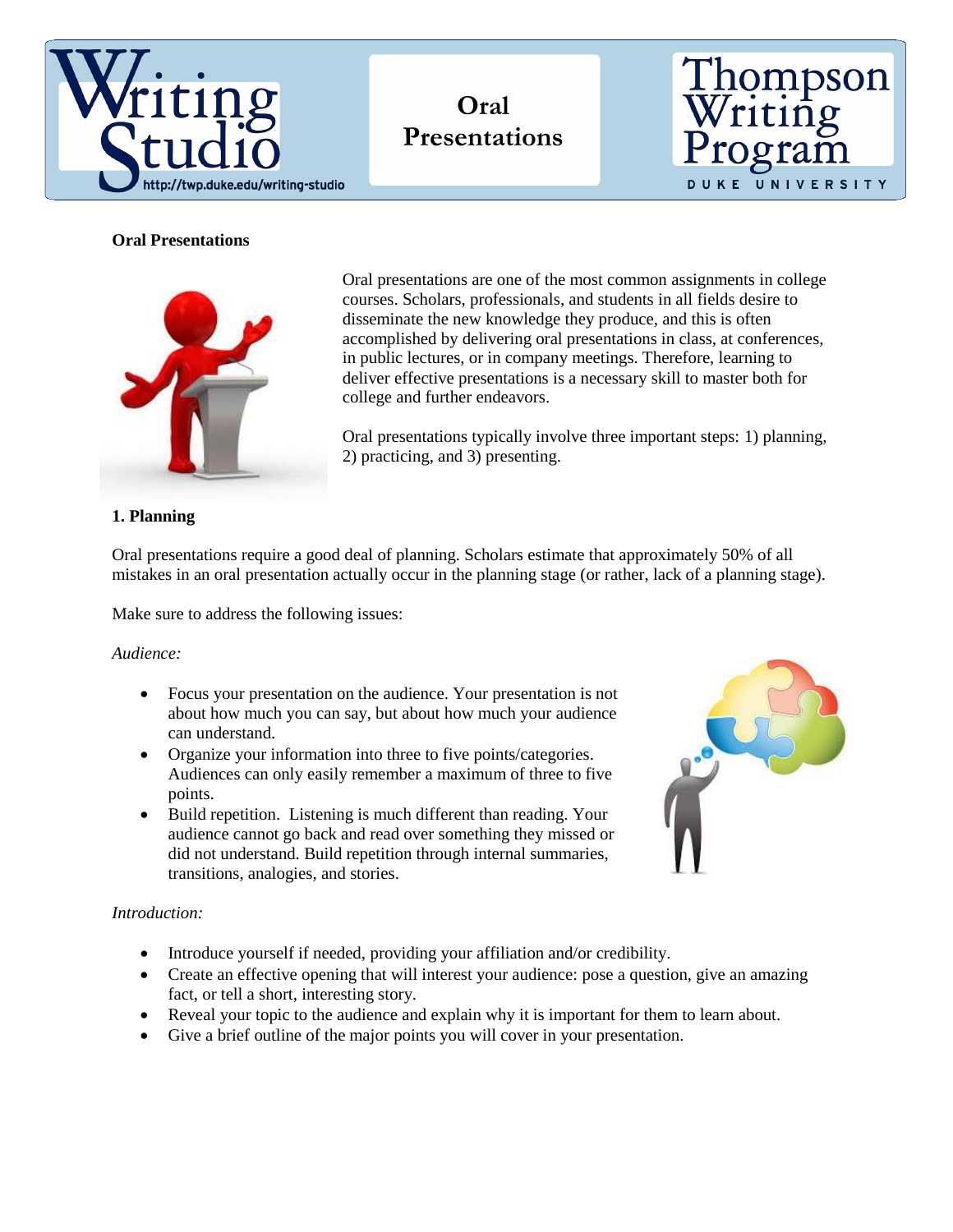

**Oral Presentations**



# **Oral Presentations**



Oral presentations are one of the most common assignments in college courses. Scholars, professionals, and students in all fields desire to disseminate the new knowledge they produce, and this is often accomplished by delivering oral presentations in class, at conferences, in public lectures, or in company meetings. Therefore, learning to deliver effective presentations is a necessary skill to master both for college and further endeavors.

Oral presentations typically involve three important steps: 1) planning, 2) practicing, and 3) presenting.

## **1. Planning**

Oral presentations require a good deal of planning. Scholars estimate that approximately 50% of all mistakes in an oral presentation actually occur in the planning stage (or rather, lack of a planning stage).

Make sure to address the following issues:

*Audience:*

- Focus your presentation on the audience. Your presentation is not about how much you can say, but about how much your audience can understand.
- Organize your information into three to five points/categories. Audiences can only easily remember a maximum of three to five points.
- Build repetition. Listening is much different than reading. Your audience cannot go back and read over something they missed or did not understand. Build repetition through internal summaries, transitions, analogies, and stories.



## *Introduction:*

- Introduce yourself if needed, providing your affiliation and/or credibility.
- Create an effective opening that will interest your audience: pose a question, give an amazing fact, or tell a short, interesting story.
- Reveal your topic to the audience and explain why it is important for them to learn about.
- Give a brief outline of the major points you will cover in your presentation.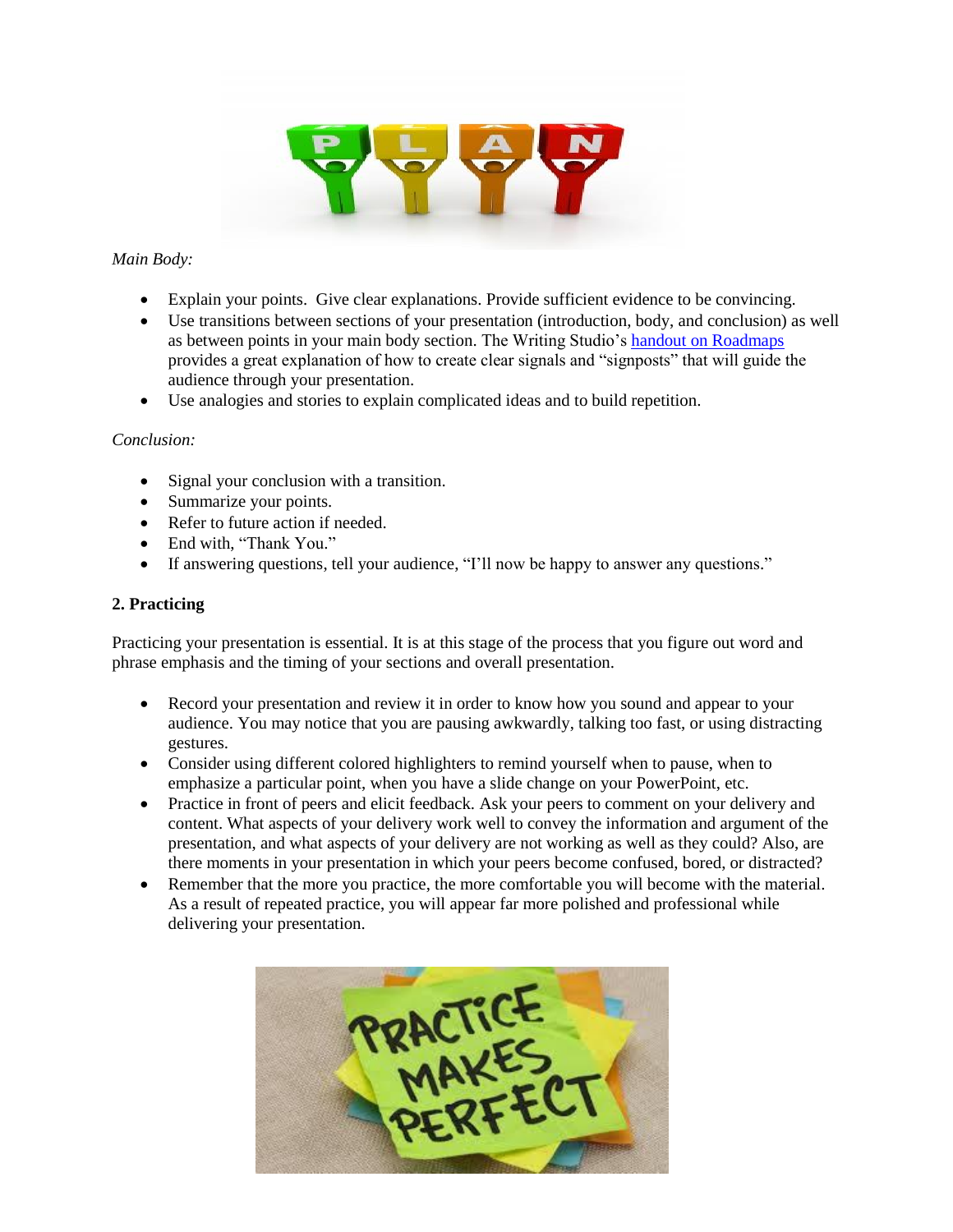

## *Main Body:*

- Explain your points. Give clear explanations. Provide sufficient evidence to be convincing.
- Use transitions between sections of your presentation (introduction, body, and conclusion) as well as between points in your main body section. The Writing Studio's [handout on Roadmaps](http://twp.duke.edu/uploads/media_items/roadmaps.original.pdf) provides a great explanation of how to create clear signals and "signposts" that will guide the audience through your presentation.
- Use analogies and stories to explain complicated ideas and to build repetition.

## *Conclusion:*

- Signal your conclusion with a transition.
- Summarize your points.
- Refer to future action if needed.
- End with, "Thank You."
- If answering questions, tell your audience, "I'll now be happy to answer any questions."

## **2. Practicing**

Practicing your presentation is essential. It is at this stage of the process that you figure out word and phrase emphasis and the timing of your sections and overall presentation.

- Record your presentation and review it in order to know how you sound and appear to your audience. You may notice that you are pausing awkwardly, talking too fast, or using distracting gestures.
- Consider using different colored highlighters to remind yourself when to pause, when to emphasize a particular point, when you have a slide change on your PowerPoint, etc.
- Practice in front of peers and elicit feedback. Ask your peers to comment on your delivery and content. What aspects of your delivery work well to convey the information and argument of the presentation, and what aspects of your delivery are not working as well as they could? Also, are there moments in your presentation in which your peers become confused, bored, or distracted?
- Remember that the more you practice, the more comfortable you will become with the material. As a result of repeated practice, you will appear far more polished and professional while delivering your presentation.

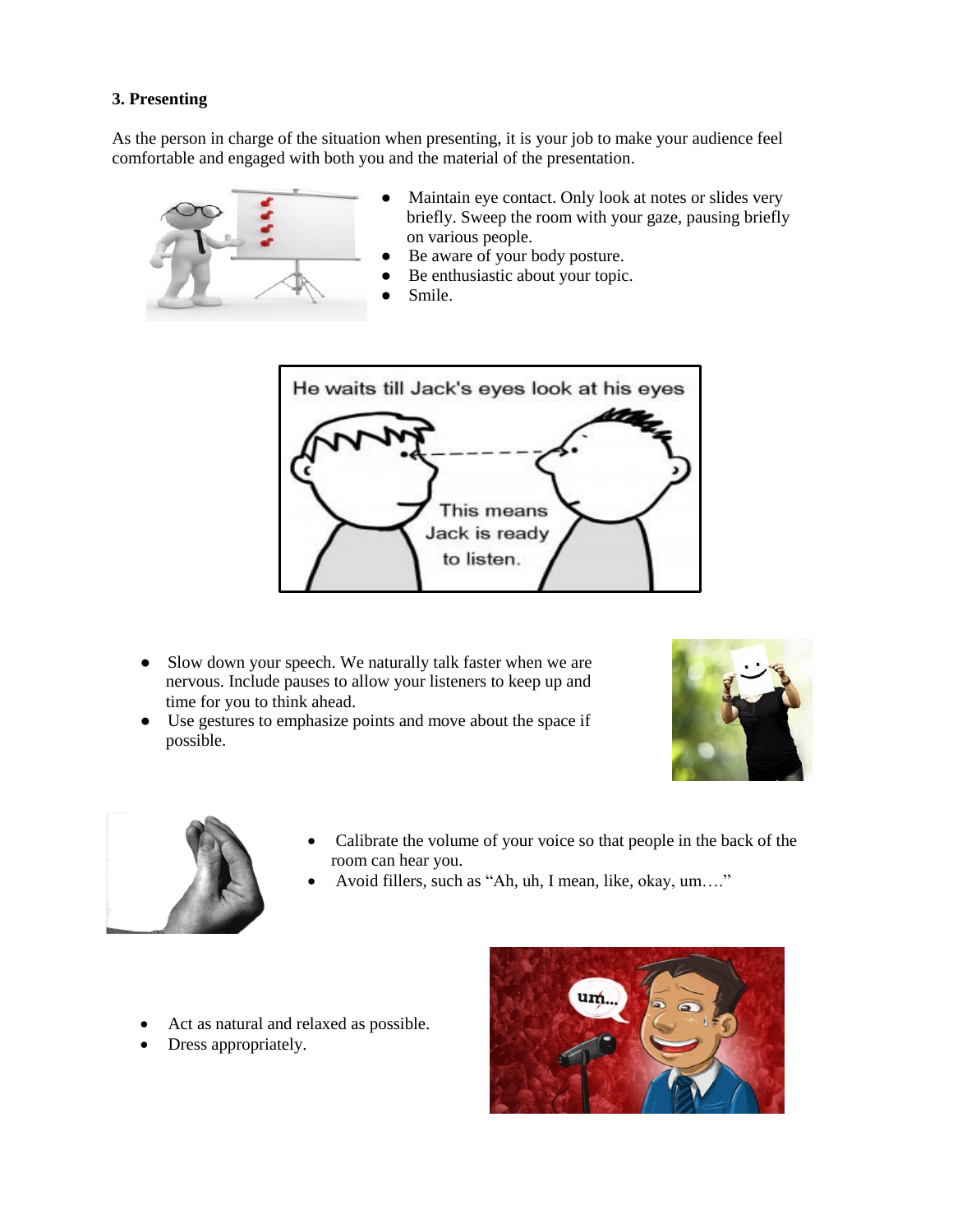# **3. Presenting**

As the person in charge of the situation when presenting, it is your job to make your audience feel comfortable and engaged with both you and the material of the presentation.



- Maintain eye contact. Only look at notes or slides very briefly. Sweep the room with your gaze, pausing briefly on various people.
- Be aware of your body posture.
- Be enthusiastic about your topic.
- Smile.



- Slow down your speech. We naturally talk faster when we are nervous. Include pauses to allow your listeners to keep up and time for you to think ahead.
- Use gestures to emphasize points and move about the space if possible.





- Calibrate the volume of your voice so that people in the back of the room can hear you.
- Avoid fillers, such as "Ah, uh, I mean, like, okay, um…."
- Act as natural and relaxed as possible.
- Dress appropriately.

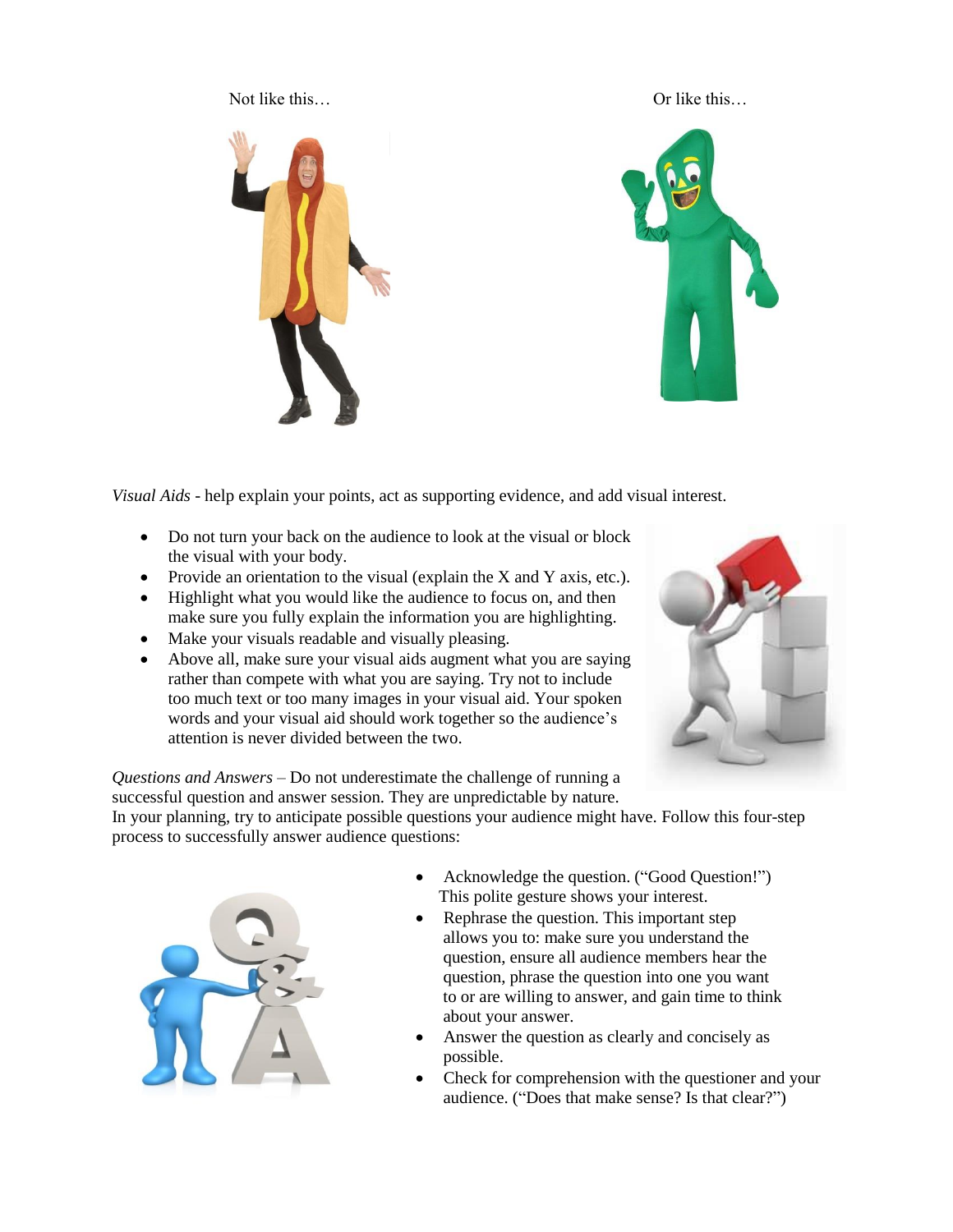Not like this…  $\qquad \qquad \qquad$  Or like this…



*Visual Aids* - help explain your points, act as supporting evidence, and add visual interest.

- Do not turn your back on the audience to look at the visual or block the visual with your body.
- Provide an orientation to the visual (explain the  $X$  and  $Y$  axis, etc.).
- Highlight what you would like the audience to focus on, and then make sure you fully explain the information you are highlighting.
- Make your visuals readable and visually pleasing.
- Above all, make sure your visual aids augment what you are saying rather than compete with what you are saying. Try not to include too much text or too many images in your visual aid. Your spoken words and your visual aid should work together so the audience's attention is never divided between the two.



*Questions and Answers* – Do not underestimate the challenge of running a successful question and answer session. They are unpredictable by nature.

In your planning, try to anticipate possible questions your audience might have. Follow this four-step process to successfully answer audience questions:



- Acknowledge the question. ("Good Question!") This polite gesture shows your interest.
- Rephrase the question. This important step allows you to: make sure you understand the question, ensure all audience members hear the question, phrase the question into one you want to or are willing to answer, and gain time to think about your answer.
- Answer the question as clearly and concisely as possible.
- Check for comprehension with the questioner and your audience. ("Does that make sense? Is that clear?")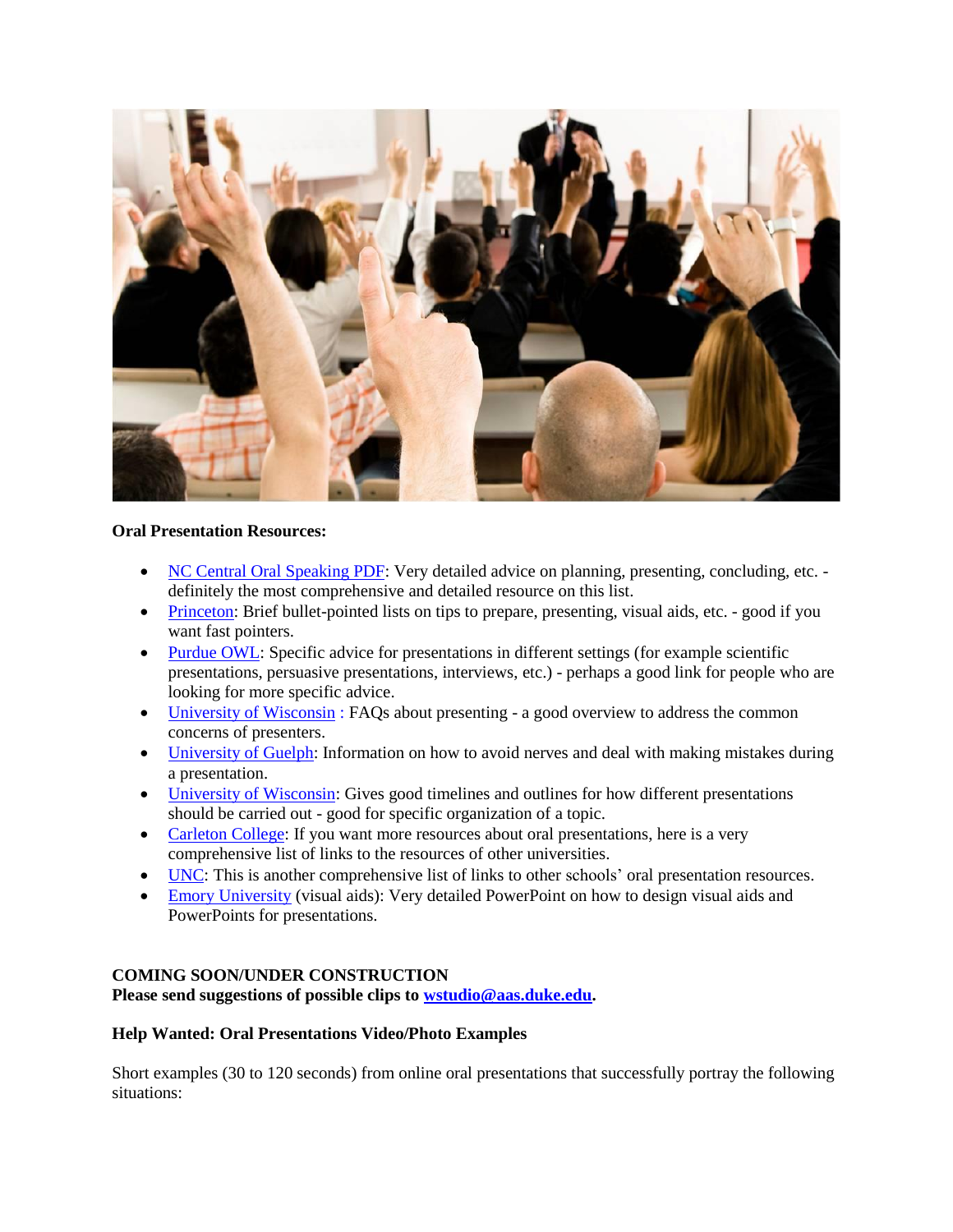

## **Oral Presentation Resources:**

- [NC Central Oral Speaking PDF:](http://people.engr.ncsu.edu/txie/publications/oral_presentation_skills.pdf) Very detailed advice on planning, presenting, concluding, etc. definitely the most comprehensive and detailed resource on this list.
- [Princeton:](http://www.princeton.edu/mcgraw/library/for-students/) Brief bullet-pointed lists on tips to prepare, presenting, visual aids, etc. good if you want fast pointers.
- [Purdue OWL:](https://owl.english.purdue.edu/owl/resource/696/1/) Specific advice for presentations in different settings (for example scientific presentations, persuasive presentations, interviews, etc.) - perhaps a good link for people who are looking for more specific advice.
- [University of Wisconsin](http://writing.wisc.edu/Handbook/presentations_oral.html) : FAQs about presenting a good overview to address the common concerns of presenters.
- [University of Guelph:](http://www.lib.uoguelph.ca/assistance/learning_services/handouts/presentations.cfm) Information on how to avoid nerves and deal with making mistakes during a presentation.
- [University of Wisconsin:](http://pages.cs.wisc.edu/~markhill/conference-talk.html) Gives good timelines and outlines for how different presentations should be carried out - good for specific organization of a topic.
- [Carleton College:](http://serc.carleton.edu/case/speaking.html) If you want more resources about oral presentations, here is a very comprehensive list of links to the resources of other universities.
- [UNC:](http://gradschool.unc.edu/academics/resources/postertips.html) This is another comprehensive list of links to other schools' oral presentation resources.
- [Emory University](http://medicine.emory.edu/research/scholarship-opportunities/Making%20a%20Great%20PowerPoint%20-%20for%20Oral%20Presentations.pdf) (visual aids): Very detailed PowerPoint on how to design visual aids and PowerPoints for presentations.

## **COMING SOON/UNDER CONSTRUCTION**

**Please send suggestions of possible clips to [wstudio@aas.duke.edu.](mailto:wstudio@aas.duke.edu)**

#### **Help Wanted: Oral Presentations Video/Photo Examples**

Short examples (30 to 120 seconds) from online oral presentations that successfully portray the following situations: